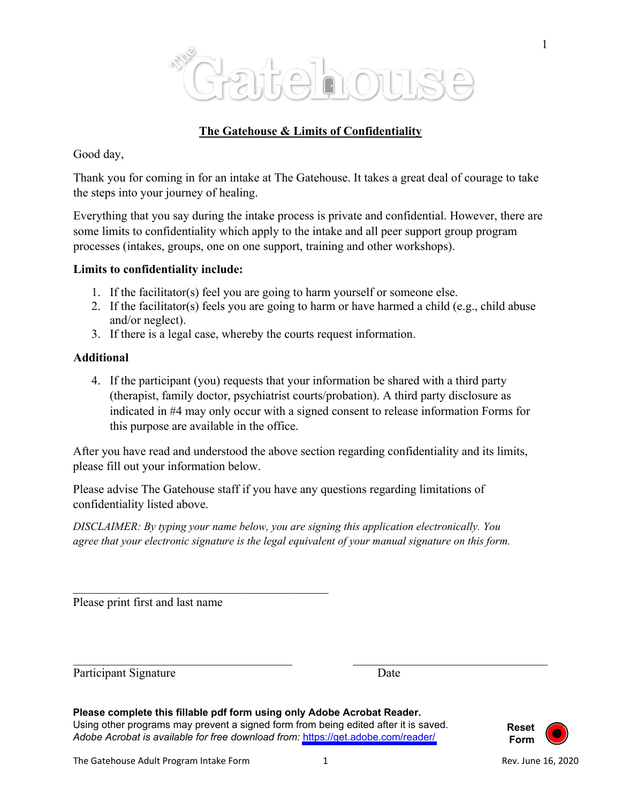

# **The Gatehouse & Limits of Confidentiality**

Good day,

Thank you for coming in for an intake at The Gatehouse. It takes a great deal of courage to take the steps into your journey of healing.

Everything that you say during the intake process is private and confidential. However, there are some limits to confidentiality which apply to the intake and all peer support group program processes (intakes, groups, one on one support, training and other workshops).

### **Limits to confidentiality include:**

- 1. If the facilitator(s) feel you are going to harm yourself or someone else.
- 2. If the facilitator(s) feels you are going to harm or have harmed a child (e.g., child abuse and/or neglect).
- 3. If there is a legal case, whereby the courts request information.

### **Additional**

4. If the participant (you) requests that your information be shared with a third party (therapist, family doctor, psychiatrist courts/probation). A third party disclosure as indicated in #4 may only occur with a signed consent to release information Forms for this purpose are available in the office.

After you have read and understood the above section regarding confidentiality and its limits, please fill out your information below.

Please advise The Gatehouse staff if you have any questions regarding limitations of confidentiality listed above.

*DISCLAIMER: By typing your name below, you are signing this application electronically. You agree that your electronic signature is the legal equivalent of your manual signature on this form.*

Please print first and last name

Participant Signature

Date

#### **Please complete this fillable pdf form using only Adobe Acrobat Reader.**

Using other programs may prevent a signed form from being edited after it is saved. *Adobe Acrobat is available for free download from:* <https://get.adobe.com/reader/>



1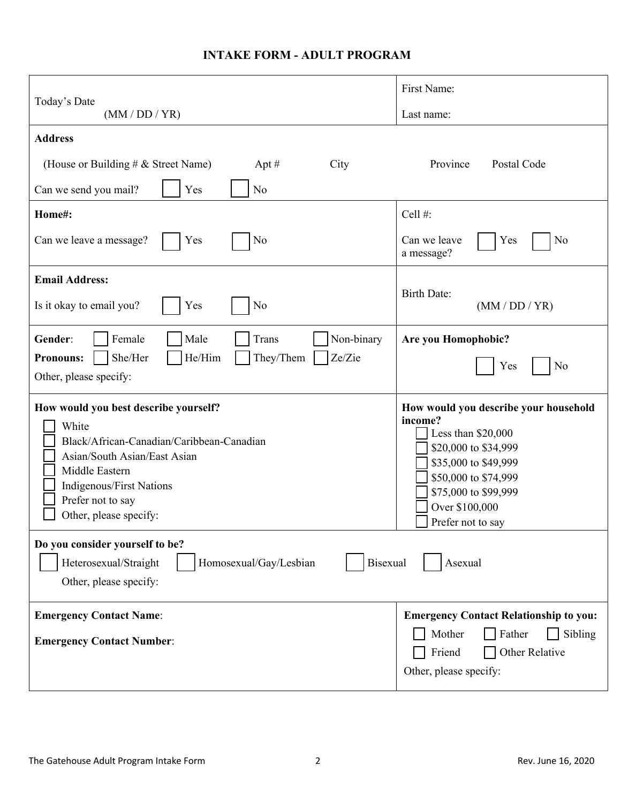# **INTAKE FORM - ADULT PROGRAM**

|                                                                                                                                                                                                                          | First Name:                                                                                                                                                                                                    |  |  |
|--------------------------------------------------------------------------------------------------------------------------------------------------------------------------------------------------------------------------|----------------------------------------------------------------------------------------------------------------------------------------------------------------------------------------------------------------|--|--|
| Today's Date<br>(MM / DD / YR)                                                                                                                                                                                           | Last name:                                                                                                                                                                                                     |  |  |
| <b>Address</b>                                                                                                                                                                                                           |                                                                                                                                                                                                                |  |  |
| (House or Building $\# \&$ Street Name)<br>City<br>Apt $#$                                                                                                                                                               | Province<br>Postal Code                                                                                                                                                                                        |  |  |
| Yes<br>Can we send you mail?<br>No                                                                                                                                                                                       |                                                                                                                                                                                                                |  |  |
| Home#:                                                                                                                                                                                                                   | Cell#:                                                                                                                                                                                                         |  |  |
| Can we leave a message?<br>No<br>Yes                                                                                                                                                                                     | Can we leave<br>Yes<br>No<br>a message?                                                                                                                                                                        |  |  |
| <b>Email Address:</b>                                                                                                                                                                                                    |                                                                                                                                                                                                                |  |  |
| Is it okay to email you?<br>Yes<br>No                                                                                                                                                                                    | <b>Birth Date:</b><br>(MM / DD / YR)                                                                                                                                                                           |  |  |
| Male<br>Non-binary<br>Gender:<br>Female<br>Trans<br>She/Her<br>He/Him<br>They/Them<br>Ze/Zie<br><b>Pronouns:</b><br>Other, please specify:                                                                               | Are you Homophobic?<br>Yes<br>No                                                                                                                                                                               |  |  |
| How would you best describe yourself?<br>White<br>Black/African-Canadian/Caribbean-Canadian<br>Asian/South Asian/East Asian<br>Middle Eastern<br>Indigenous/First Nations<br>Prefer not to say<br>Other, please specify: | How would you describe your household<br>income?<br>Less than $$20,000$<br>\$20,000 to \$34,999<br>\$35,000 to \$49,999<br>\$50,000 to \$74,999<br>\$75,000 to \$99,999<br>Over \$100,000<br>Prefer not to say |  |  |
| Do you consider yourself to be?<br>Heterosexual/Straight<br>Homosexual/Gay/Lesbian<br>Bisexual<br>Asexual<br>Other, please specify:                                                                                      |                                                                                                                                                                                                                |  |  |
| <b>Emergency Contact Name:</b><br><b>Emergency Contact Number:</b>                                                                                                                                                       | <b>Emergency Contact Relationship to you:</b><br>Father<br>Sibling<br>Mother<br>Other Relative<br>Friend<br>Other, please specify:                                                                             |  |  |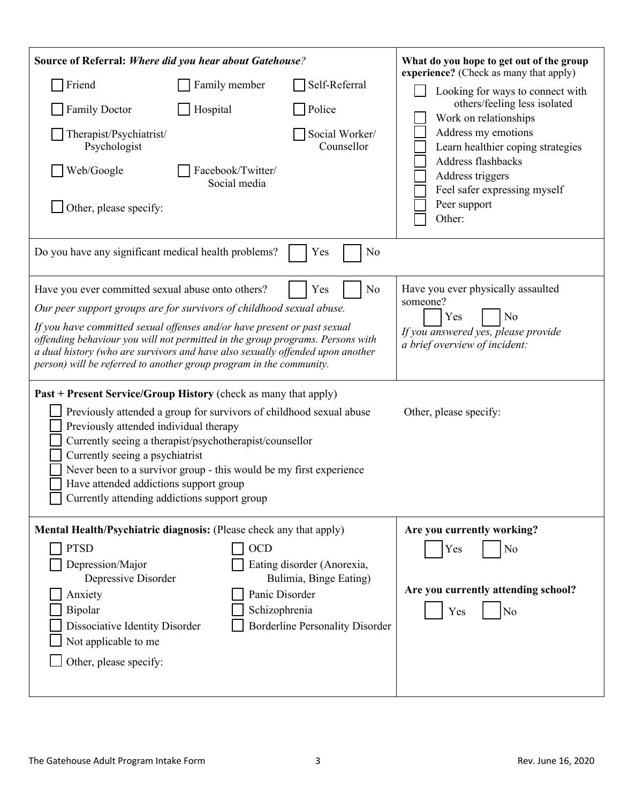| Source of Referral: Where did you hear about Gatehouse?                                                                                                                                                                                                                                                                                                                                                                                                                  |                                                                      |                              | What do you hope to get out of the group                                                    |  |  |
|--------------------------------------------------------------------------------------------------------------------------------------------------------------------------------------------------------------------------------------------------------------------------------------------------------------------------------------------------------------------------------------------------------------------------------------------------------------------------|----------------------------------------------------------------------|------------------------------|---------------------------------------------------------------------------------------------|--|--|
| Friend                                                                                                                                                                                                                                                                                                                                                                                                                                                                   | Family member                                                        | Self-Referral                | experience? (Check as many that apply)<br>Looking for ways to connect with                  |  |  |
| <b>Family Doctor</b>                                                                                                                                                                                                                                                                                                                                                                                                                                                     | Hospital                                                             | Police                       | others/feeling less isolated<br>Work on relationships                                       |  |  |
| Therapist/Psychiatrist/<br>Psychologist                                                                                                                                                                                                                                                                                                                                                                                                                                  |                                                                      | Social Worker/<br>Counsellor | Address my emotions<br>Learn healthier coping strategies                                    |  |  |
| Web/Google                                                                                                                                                                                                                                                                                                                                                                                                                                                               | Facebook/Twitter/<br>Social media                                    |                              | Address flashbacks<br>Address triggers<br>Feel safer expressing myself                      |  |  |
| Other, please specify:                                                                                                                                                                                                                                                                                                                                                                                                                                                   |                                                                      |                              | Peer support<br>Other:                                                                      |  |  |
| Do you have any significant medical health problems?                                                                                                                                                                                                                                                                                                                                                                                                                     |                                                                      | No<br>Yes                    |                                                                                             |  |  |
| No<br>Have you ever physically assaulted<br>Have you ever committed sexual abuse onto others?<br>Yes<br>someone?                                                                                                                                                                                                                                                                                                                                                         |                                                                      |                              |                                                                                             |  |  |
| Our peer support groups are for survivors of childhood sexual abuse.<br>If you have committed sexual offenses and/or have present or past sexual                                                                                                                                                                                                                                                                                                                         |                                                                      |                              | Yes<br>No                                                                                   |  |  |
| offending behaviour you will not permitted in the group programs. Persons with<br>a dual history (who are survivors and have also sexually offended upon another<br>person) will be referred to another group program in the community.                                                                                                                                                                                                                                  | If you answered yes, please provide<br>a brief overview of incident: |                              |                                                                                             |  |  |
| Past + Present Service/Group History (check as many that apply)<br>Previously attended a group for survivors of childhood sexual abuse<br>Other, please specify:<br>Previously attended individual therapy<br>Currently seeing a therapist/psychotherapist/counsellor<br>Currently seeing a psychiatrist<br>Never been to a survivor group - this would be my first experience<br>Have attended addictions support group<br>Currently attending addictions support group |                                                                      |                              |                                                                                             |  |  |
|                                                                                                                                                                                                                                                                                                                                                                                                                                                                          |                                                                      |                              |                                                                                             |  |  |
| Mental Health/Psychiatric diagnosis: (Please check any that apply)<br><b>PTSD</b><br><b>OCD</b><br>Eating disorder (Anorexia,<br>Depression/Major<br>Depressive Disorder<br>Bulimia, Binge Eating)<br>Panic Disorder<br>Anxiety<br>Bipolar<br>Schizophrenia<br><b>Borderline Personality Disorder</b><br>Dissociative Identity Disorder<br>Not applicable to me<br>Other, please specify:                                                                                |                                                                      |                              | Are you currently working?<br>Yes<br>No<br>Are you currently attending school?<br>No<br>Yes |  |  |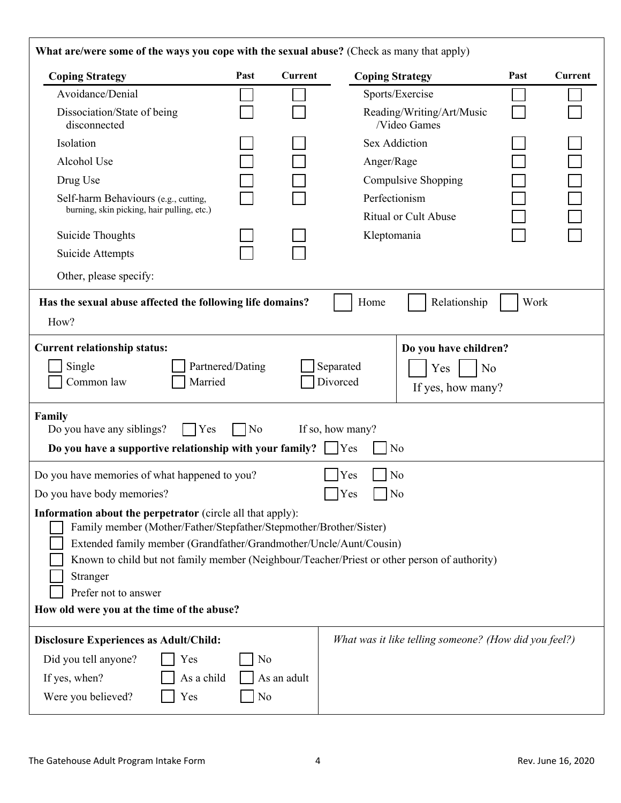| What are/were some of the ways you cope with the sexual abuse? (Check as many that apply)                                                                                                                                                                                                                                                                                                       |                                    |                |                                              |      |                |
|-------------------------------------------------------------------------------------------------------------------------------------------------------------------------------------------------------------------------------------------------------------------------------------------------------------------------------------------------------------------------------------------------|------------------------------------|----------------|----------------------------------------------|------|----------------|
| <b>Coping Strategy</b>                                                                                                                                                                                                                                                                                                                                                                          | Past                               | <b>Current</b> | <b>Coping Strategy</b>                       | Past | <b>Current</b> |
| Avoidance/Denial                                                                                                                                                                                                                                                                                                                                                                                |                                    |                | Sports/Exercise                              |      |                |
| Dissociation/State of being<br>disconnected                                                                                                                                                                                                                                                                                                                                                     |                                    |                | Reading/Writing/Art/Music<br>/Video Games    |      |                |
| Isolation                                                                                                                                                                                                                                                                                                                                                                                       |                                    |                | <b>Sex Addiction</b>                         |      |                |
| Alcohol Use                                                                                                                                                                                                                                                                                                                                                                                     |                                    |                | Anger/Rage                                   |      |                |
| Drug Use                                                                                                                                                                                                                                                                                                                                                                                        |                                    |                | Compulsive Shopping                          |      |                |
| Self-harm Behaviours (e.g., cutting,<br>burning, skin picking, hair pulling, etc.)                                                                                                                                                                                                                                                                                                              |                                    |                | Perfectionism<br><b>Ritual or Cult Abuse</b> |      |                |
| Suicide Thoughts                                                                                                                                                                                                                                                                                                                                                                                |                                    |                | Kleptomania                                  |      |                |
| Suicide Attempts                                                                                                                                                                                                                                                                                                                                                                                |                                    |                |                                              |      |                |
| Other, please specify:                                                                                                                                                                                                                                                                                                                                                                          |                                    |                |                                              |      |                |
| Relationship<br>Has the sexual abuse affected the following life domains?<br>Work<br>Home<br>How?                                                                                                                                                                                                                                                                                               |                                    |                |                                              |      |                |
| <b>Current relationship status:</b><br>Do you have children?                                                                                                                                                                                                                                                                                                                                    |                                    |                |                                              |      |                |
| Single<br>Partnered/Dating<br>Separated<br>N <sub>o</sub><br>Yes<br>Divorced<br>Married<br>Common law<br>If yes, how many?                                                                                                                                                                                                                                                                      |                                    |                |                                              |      |                |
| Family<br>$ $ Yes<br>Do you have any siblings?                                                                                                                                                                                                                                                                                                                                                  | N <sub>o</sub><br>If so, how many? |                |                                              |      |                |
| Do you have a supportive relationship with your family?                                                                                                                                                                                                                                                                                                                                         |                                    |                | Yes<br>No                                    |      |                |
| Do you have memories of what happened to you?<br>Yes<br>No                                                                                                                                                                                                                                                                                                                                      |                                    |                |                                              |      |                |
| $\Box$ Yes<br>Do you have body memories?<br>$\Box$ No                                                                                                                                                                                                                                                                                                                                           |                                    |                |                                              |      |                |
| <b>Information about the perpetrator</b> (circle all that apply):<br>Family member (Mother/Father/Stepfather/Stepmother/Brother/Sister)<br>Extended family member (Grandfather/Grandmother/Uncle/Aunt/Cousin)<br>Known to child but not family member (Neighbour/Teacher/Priest or other person of authority)<br>Stranger<br>Prefer not to answer<br>How old were you at the time of the abuse? |                                    |                |                                              |      |                |
| What was it like telling someone? (How did you feel?)<br><b>Disclosure Experiences as Adult/Child:</b>                                                                                                                                                                                                                                                                                          |                                    |                |                                              |      |                |
| Did you tell anyone?<br>Yes                                                                                                                                                                                                                                                                                                                                                                     | No                                 |                |                                              |      |                |
| As a child<br>If yes, when?                                                                                                                                                                                                                                                                                                                                                                     |                                    | As an adult    |                                              |      |                |
| Yes<br>Were you believed?                                                                                                                                                                                                                                                                                                                                                                       | No                                 |                |                                              |      |                |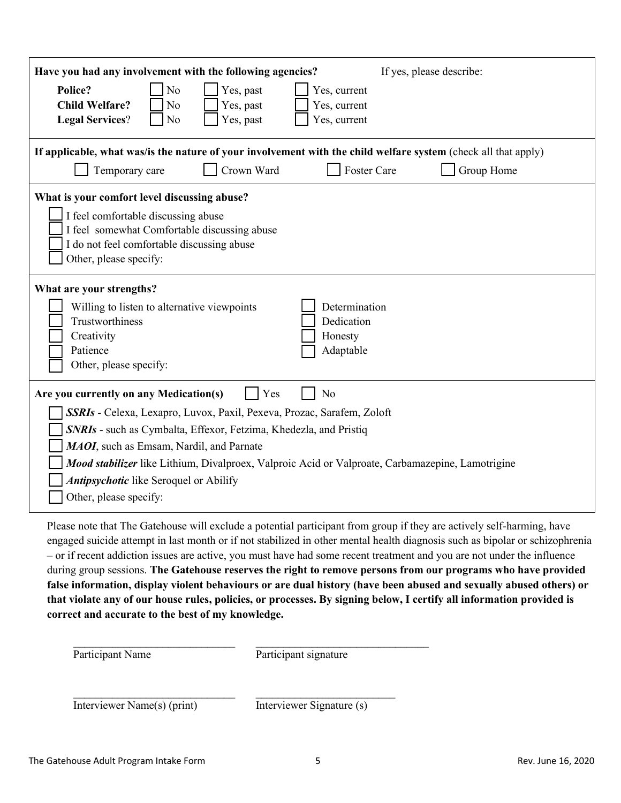| Have you had any involvement with the following agencies?<br>If yes, please describe:<br>Police?<br>No<br>Yes, current                       |                                  |  |  |
|----------------------------------------------------------------------------------------------------------------------------------------------|----------------------------------|--|--|
| Yes, past<br><b>Child Welfare?</b><br>No<br>Yes, past                                                                                        | Yes, current                     |  |  |
| <b>Legal Services?</b><br>Yes, past<br>No                                                                                                    | Yes, current                     |  |  |
| If applicable, what was/is the nature of your involvement with the child welfare system (check all that apply)                               |                                  |  |  |
| Crown Ward<br>Temporary care                                                                                                                 | <b>Foster Care</b><br>Group Home |  |  |
| What is your comfort level discussing abuse?                                                                                                 |                                  |  |  |
| I feel comfortable discussing abuse<br>I feel somewhat Comfortable discussing abuse                                                          |                                  |  |  |
| I do not feel comfortable discussing abuse                                                                                                   |                                  |  |  |
| Other, please specify:                                                                                                                       |                                  |  |  |
| What are your strengths?                                                                                                                     |                                  |  |  |
| Willing to listen to alternative viewpoints                                                                                                  | Determination                    |  |  |
| Trustworthiness<br>Creativity                                                                                                                | Dedication<br>Honesty            |  |  |
| Patience                                                                                                                                     | Adaptable                        |  |  |
| Other, please specify:                                                                                                                       |                                  |  |  |
| Are you currently on any Medication(s)<br>Yes                                                                                                | No                               |  |  |
| SSRIs - Celexa, Lexapro, Luvox, Paxil, Pexeva, Prozac, Sarafem, Zoloft                                                                       |                                  |  |  |
| SNRIs - such as Cymbalta, Effexor, Fetzima, Khedezla, and Pristiq                                                                            |                                  |  |  |
| MAOI, such as Emsam, Nardil, and Parnate<br>Mood stabilizer like Lithium, Divalproex, Valproic Acid or Valproate, Carbamazepine, Lamotrigine |                                  |  |  |
| <b>Antipsychotic</b> like Seroquel or Abilify                                                                                                |                                  |  |  |
| Other, please specify:                                                                                                                       |                                  |  |  |
|                                                                                                                                              |                                  |  |  |

Please note that The Gatehouse will exclude a potential participant from group if they are actively self-harming, have engaged suicide attempt in last month or if not stabilized in other mental health diagnosis such as bipolar or schizophrenia – or if recent addiction issues are active, you must have had some recent treatment and you are not under the influence during group sessions. **The Gatehouse reserves the right to remove persons from our programs who have provided** false information, display violent behaviours or are dual history (have been abused and sexually abused others) or that violate any of our house rules, policies, or processes. By signing below, I certify all information provided is **correct and accurate to the best of my knowledge.**

| Participant Name            | Participant signature     |
|-----------------------------|---------------------------|
|                             |                           |
| Interviewer Name(s) (print) | Interviewer Signature (s) |